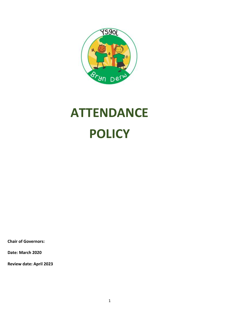

# **ATTENDANCE POLICY**

**Chair of Governors:**

**Date: March 2020**

**Review date: April 2023**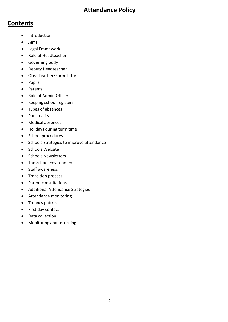### **Attendance Policy**

#### **Contents**

- Introduction
- Aims
- Legal Framework
- Role of Headteacher
- **•** Governing body
- Deputy Headteacher
- Class Teacher/Form Tutor
- Pupils
- Parents
- Role of Admin Officer
- Keeping school registers
- Types of absences
- Punctuality
- Medical absences
- Holidays during term time
- School procedures
- Schools Strategies to improve attendance
- Schools Website
- Schools Newsletters
- The School Environment
- Staff awareness
- Transition process
- Parent consultations
- Additional Attendance Strategies
- Attendance monitoring
- Truancy patrols
- First day contact
- Data collection
- Monitoring and recording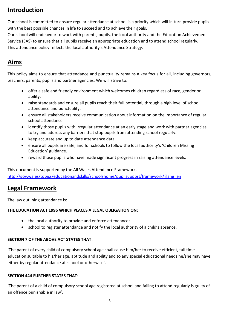### **Introduction**

Our school is committed to ensure regular attendance at school is a priority which will in turn provide pupils with the best possible chances in life to succeed and to achieve their goals.

Our school will endeavour to work with parents, pupils, the local authority and the Education Achievement Service (EAS) to ensure that all pupils receive an appropriate education and to attend school regularly. This attendance policy reflects the local authority's Attendance Strategy.

### **Aims**

This policy aims to ensure that attendance and punctuality remains a key focus for all, including governors, teachers, parents, pupils and partner agencies. We will strive to:

- offer a safe and friendly environment which welcomes children regardless of race, gender or ability.
- raise standards and ensure all pupils reach their full potential, through a high level of school attendance and punctuality.
- ensure all stakeholders receive communication about information on the importance of regular school attendance.
- identify those pupils with irregular attendance at an early stage and work with partner agencies to try and address any barriers that stop pupils from attending school regularly.
- keep accurate and up to date attendance data.
- ensure all pupils are safe, and for schools to follow the local authority's 'Children Missing Education' guidance.
- reward those pupils who have made significant progress in raising attendance levels.

This document is supported by the All Wales Attendance Framework. <http://gov.wales/topics/educationandskills/schoolshome/pupilsupport/framework/?lang=en>

#### **Legal Framework**

The law outlining attendance is:

#### **THE EDUCATION ACT 1996 WHICH PLACES A LEGAL OBLIGATION ON**:

- the local authority to provide and enforce attendance;
- school to register attendance and notify the local authority of a child's absence.

#### **SECTION 7 OF THE ABOVE ACT STATES THAT**:

'The parent of every child of compulsory school age shall cause him/her to receive efficient, full time education suitable to his/her age, aptitude and ability and to any special educational needs he/she may have either by regular attendance at school or otherwise'.

#### **SECTION 444 FURTHER STATES THAT**:

'The parent of a child of compulsory school age registered at school and failing to attend regularly is guilty of an offence punishable in law'.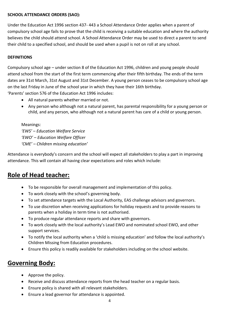#### **SCHOOL ATTENDANCE ORDERS (SAO):**

Under the Education Act 1996 section 437- 443 a School Attendance Order applies when a parent of compulsory school age fails to prove that the child is receiving a suitable education and where the authority believes the child should attend school. A School Attendance Order may be used to direct a parent to send their child to a specified school, and should be used when a pupil is not on roll at any school.

#### **DEFINITIONS**

Compulsory school age – under section 8 of the Education Act 1996, children and young people should attend school from the start of the first term commencing after their fifth birthday. The ends of the term dates are 31st March, 31st August and 31st December. A young person ceases to be compulsory school age on the last Friday in June of the school year in which they have their 16th birthday. 'Parents' section 576 of the Education Act 1996 includes:

- All natural parents whether married or not.
- Any person who although not a natural parent, has parental responsibility for a young person or child, and any person, who although not a natural parent has care of a child or young person.

Meanings: *'EWS' – Education Welfare Service 'EWO' – Education Welfare Officer 'CME' – Children missing education'*

Attendance is everybody's concern and the school will expect all stakeholders to play a part in improving attendance. This will contain all having clear expectations and roles which include:

#### **Role of Head teacher:**

- To be responsible for overall management and implementation of this policy.
- To work closely with the school's governing body.
- To set attendance targets with the Local Authority, EAS challenge advisors and governors.
- To use discretion when receiving applications for holiday requests and to provide reasons to parents when a holiday in term time is not authorised.
- To produce regular attendance reports and share with governors.
- To work closely with the local authority's Lead EWO and nominated school EWO, and other support services.
- To notify the local authority when a 'child is missing education' and follow the local authority's Children Missing from Education procedures.
- Ensure this policy is readily available for stakeholders including on the school website.

#### **Governing Body:**

- Approve the policy.
- Receive and discuss attendance reports from the head teacher on a regular basis.
- Ensure policy is shared with all relevant stakeholders.
- Ensure a lead governor for attendance is appointed.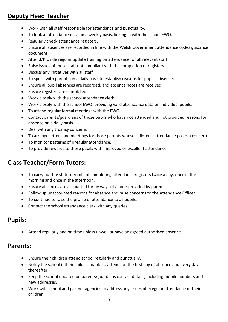#### **Deputy Head Teacher**

- Work with all staff responsible for attendance and punctuality.
- To look at attendance data on a weekly basis, linking in with the school EWO.
- Regularly check attendance registers.
- Ensure all absences are recorded in line with the Welsh Government attendance codes guidance document.
- Attend/Provide regular update training on attendance for all relevant staff
- Raise issues of those staff not compliant with the completion of registers.
- Discuss any initiatives with all staff
- To speak with parents on a daily basis to establish reasons for pupil's absence.
- Ensure all pupil absences are recorded, and absence notes are received.
- Ensure registers are completed.
- Work closely with the school attendance clerk.
- Work closely with the school EWO, providing valid attendance data on individual pupils.
- To attend regular formal meetings with the EWO.
- Contact parents/guardians of those pupils who have not attended and not provided reasons for absence on a daily basis.
- Deal with any truancy concerns
- To arrange letters and meetings for those parents whose children's attendance poses a concern.
- To monitor patterns of irregular attendance.
- To provide rewards to those pupils with improved or excellent attendance.

#### **Class Teacher/Form Tutors:**

- To carry out the statutory role of completing attendance registers twice a day, once in the morning and once in the afternoon.
- Ensure absences are accounted for by ways of a note provided by parents.
- Follow up unaccounted reasons for absence and raise concerns to the Attendance Officer.
- To continue to raise the profile of attendance to all pupils.
- Contact the school attendance clerk with any queries.

#### **Pupils:**

Attend regularly and on time unless unwell or have an agreed authorised absence.

#### **Parents:**

- Ensure their children attend school regularly and punctually.
- Notify the school if their child is unable to attend, on the first day of absence and every day thereafter.
- Keep the school updated on parents/guardians contact details, including mobile numbers and new addresses.
- Work with school and partner agencies to address any issues of irregular attendance of their children.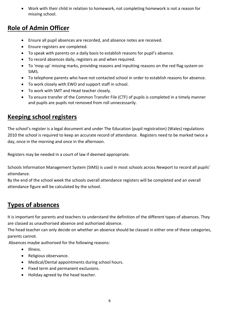Work with their child in relation to homework, not completing homework is not a reason for missing school.

#### **Role of Admin Officer**

- Ensure all pupil absences are recorded, and absence notes are received.
- Ensure registers are completed.
- To speak with parents on a daily basis to establish reasons for pupil's absence.
- To record absences daily, registers as and when required.
- To 'mop up' missing marks, providing reasons and inputting reasons on the red flag system on SIMS.
- To telephone parents who have not contacted school in order to establish reasons for absence.
- To work closely with EWO and support staff in school.
- To work with SMT and Head teacher closely.
- To ensure transfer of the Common Transfer File (CTF) of pupils is completed in a timely manner and pupils are pupils not removed from roll unnecessarily.

#### **Keeping school registers**

The school's register is a legal document and under The Education (pupil registration) (Wales) regulations 2010 the school is required to keep an accurate record of attendance. Registers need to be marked twice a day, once in the morning and once in the afternoon.

Registers may be needed in a court of law if deemed appropriate.

Schools Information Management System (SIMS) is used in most schools across Newport to record all pupils' attendance.

By the end of the school week the schools overall attendance registers will be completed and an overall attendance figure will be calculated by the school.

#### **Types of absences**

It is important for parents and teachers to understand the definition of the different types of absences. They are classed as unauthorised absence and authorised absence.

The head teacher can only decide on whether an absence should be classed in either one of these categories, parents cannot.

Absences maybe authorised for the following reasons:

- Illness.
- Religious observance.
- Medical/Dental appointments during school hours.
- Fixed term and permanent exclusions.
- Holiday agreed by the head teacher.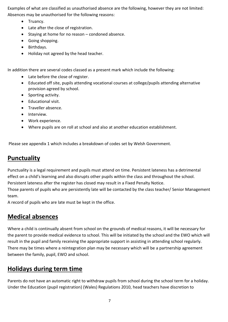Examples of what are classified as unauthorised absence are the following, however they are not limited: Absences may be unauthorised for the following reasons:

- Truancy.
- Late after the close of registration.
- Staying at home for no reason condoned absence.
- Going shopping.
- Birthdays.
- Holiday not agreed by the head teacher.

In addition there are several codes classed as a present mark which include the following:

- Late before the close of register.
- Educated off site, pupils attending vocational courses at college/pupils attending alternative provision agreed by school.
- Sporting activity.
- Educational visit.
- Traveller absence.
- Interview.
- Work experience.
- Where pupils are on roll at school and also at another education establishment.

Please see appendix 1 which includes a breakdown of codes set by Welsh Government.

#### **Punctuality**

Punctuality is a legal requirement and pupils must attend on time. Persistent lateness has a detrimental effect on a child's learning and also disrupts other pupils within the class and throughout the school. Persistent lateness after the register has closed may result in a Fixed Penalty Notice. Those parents of pupils who are persistently late will be contacted by the class teacher/ Senior Management

team.

A record of pupils who are late must be kept in the office.

#### **Medical absences**

Where a child is continually absent from school on the grounds of medical reasons, it will be necessary for the parent to provide medical evidence to school. This will be initiated by the school and the EWO which will result in the pupil and family receiving the appropriate support in assisting in attending school regularly. There may be times where a reintegration plan may be necessary which will be a partnership agreement between the family, pupil, EWO and school.

### **Holidays during term time**

Parents do not have an automatic right to withdraw pupils from school during the school term for a holiday. Under the Education (pupil registration) (Wales) Regulations 2010, head teachers have discretion to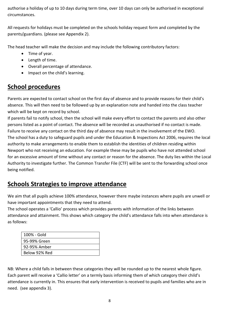authorise a holiday of up to 10 days during term time, over 10 days can only be authorised in exceptional circumstances.

All requests for holidays must be completed on the schools holiday request form and completed by the parents/guardians. (please see Appendix 2).

The head teacher will make the decision and may include the following contributory factors:

- Time of year.
- Length of time.
- Overall percentage of attendance.
- Impact on the child's learning.

#### **School procedures**

Parents are expected to contact school on the first day of absence and to provide reasons for their child's absence. This will then need to be followed up by an explanation note and handed into the class teacher which will be kept on record by school.

If parents fail to notify school, then the school will make every effort to contact the parents and also other persons listed as a point of contact. The absence will be recorded as unauthorised if no contact is made. Failure to receive any contact on the third day of absence may result in the involvement of the EWO. The school has a duty to safeguard pupils and under the Education & Inspections Act 2006, requires the local authority to make arrangements to enable them to establish the identities of children residing within Newport who not receiving an education. For example these may be pupils who have not attended school for an excessive amount of time without any contact or reason for the absence. The duty lies within the Local Authority to investigate further. The Common Transfer File (CTF) will be sent to the forwarding school once being notified.

#### **Schools Strategies to improve attendance**

We aim that all pupils achieve 100% attendance, however there maybe instances where pupils are unwell or have important appointments that they need to attend.

The school operates a 'Callio' process which provides parents with information of the links between attendance and attainment. This shows which category the child's attendance falls into when attendance is as follows:

| 100% - Gold   |
|---------------|
| 95-99% Green  |
| 92-95% Amber  |
| Below 92% Red |

NB: Where a child falls in between these categories they will be rounded up to the nearest whole figure. Each parent will receive a 'Callio letter' on a termly basis informing them of which category their child's attendance is currently in. This ensures that early intervention is received to pupils and families who are in need. (see appendix 3).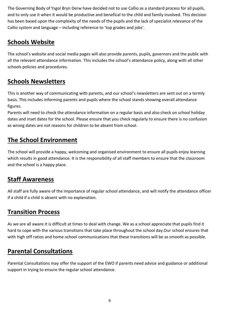The Governing Body of Ysgol Bryn Derw have decided not to use Callio as a standard process for all pupils, and to only use it when it would be productive and benefical to the child and family involved. This decision has been based upon the complexity of the needs of the pupils and the lack of specialist relevance of the Callio system and language – including reference to 'top grades and jobs'.

### **Schools Website**

The school's website and social media pages will also provide parents, pupils, governors and the public with all the relevant attendance information. This includes the school's attendance policy, along with all other schools policies and procedures.

### **Schools Newsletters**

This is another way of communicating with parents, and our school's newsletters are sent out on a termly basis. This includes informing parents and pupils where the school stands showing overall attendance figures.

Parents will need to check the attendance information on a regular basis and also check on school holiday dates and inset dates for the school. Please ensure that you check regularly to ensure there is no confusion as wrong dates are not reasons for children to be absent from school.

### **The School Environment**

The school will provide a happy, welcoming and organised environment to ensure all pupils enjoy learning which results in good attendance. It is the responsibility of all staff members to ensure that the classroom and the school is a happy place.

### **Staff Awareness**

All staff are fully aware of the importance of regular school attendance, and will notify the attendance officer if a child if a child is absent with no explanation.

### **Transition Process**

As we are all aware it is difficult at times to deal with change. We as a school appreciate that pupils find it hard to cope with the various transitions that take place throughout the school day.Our school ensures that with high stff ratios and home-school communications that these transitions will be as smooth as possible.

### **Parental Consultations**

Parental Consultations may offer the support of the EWO if parents need advice and guidance or additional support in trying to ensure the regular school attendance.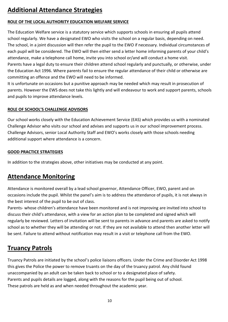### **Additional Attendance Strategies**

#### **ROLE OF THE LOCAL AUTHORITY EDUCATION WELFARE SERVICE**

The Education Welfare service is a statutory service which supports schools in ensuring all pupils attend school regularly. We have a designated EWO who visits the school on a regular basis, depending on need. The school, in a joint discussion will then refer the pupil to the EWO if necessary. Individual circumstances of each pupil will be considered. The EWO will then either send a letter home informing parents of your child's attendance, make a telephone call home, invite you into school or/and will conduct a home visit. Parents have a legal duty to ensure their children attend school regularly and punctually, or otherwise, under the Education Act 1996. Where parents fail to ensure the regular attendance of their child or otherwise are committing an offence and the EWO will need to be informed.

It is unfortunate on occasions but a punitive approach may be needed which may result in prosecution of parents. However the EWS does not take this lightly and will endeavour to work and support parents, schools and pupils to improve attendance levels.

#### **ROLE OF SCHOOL'S CHALLENGE ADVISORS**

Our school works closely with the Education Achievement Service (EAS) which provides us with a nominated Challenge Advisor who visits our school and advises and supports us in our school improvement process. Challenge Advisors, senior Local Authority Staff and EWO's works closely with those schools needing additional support where attendance is a concern.

#### **GOOD PRACTICE STRATEGIES**

In addition to the strategies above, other initiatives may be conducted at any point.

### **Attendance Monitoring**

Attendance is monitored overall by a lead school governor, Attendance Officer, EWO, parent and on occasions include the pupil. Whilst the panel's aim is to address the attendance of pupils, it is not always in the best interest of the pupil to be out of class.

Parents- whose children's attendance have been monitored and is not improving are invited into school to discuss their child's attendance, with a view for an action plan to be completed and signed which will regularly be reviewed. Letters of invitation will be sent to parents in advance and parents are asked to notify school as to whether they will be attending or not. If they are not available to attend then another letter will be sent. Failure to attend without notification may result in a visit or telephone call from the EWO.

## **Truancy Patrols**

Truancy Patrols are initiated by the school's police liaisons officers. Under the Crime and Disorder Act 1998 this gives the Police the power to remove truants on the day of the truancy patrol. Any child found unaccompanied by an adult can be taken back to school or to a designated place of safety. Parents and pupils details are logged, along with the reasons for the pupil being out of school. These patrols are held as and when needed throughout the academic year.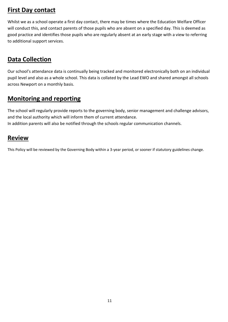### **First Day contact**

Whilst we as a school operate a first day contact, there may be times where the Education Welfare Officer will conduct this, and contact parents of those pupils who are absent on a specified day. This is deemed as good practice and identifies those pupils who are regularly absent at an early stage with a view to referring to additional support services.

### **Data Collection**

Our school's attendance data is continually being tracked and monitored electronically both on an individual pupil level and also as a whole school. This data is collated by the Lead EWO and shared amongst all schools across Newport on a monthly basis.

#### **Monitoring and reporting**

The school will regularly provide reports to the governing body, senior management and challenge advisors, and the local authority which will inform them of current attendance. In addition parents will also be notified through the schools regular communication channels.

#### **Review**

This Policy will be reviewed by the Governing Body within a 3-year period, or sooner if statutory guidelines change.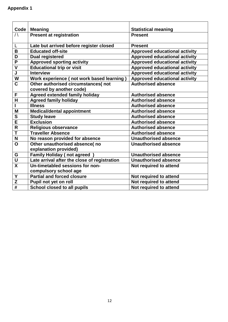| Code                    | <b>Meaning</b>                               | <b>Statistical meaning</b>           |  |
|-------------------------|----------------------------------------------|--------------------------------------|--|
| $\bigwedge$             | <b>Present at registration</b>               | <b>Present</b>                       |  |
|                         |                                              |                                      |  |
| L                       | Late but arrived before register closed      | <b>Present</b>                       |  |
| B                       | <b>Educated off-site</b>                     | <b>Approved educational activity</b> |  |
| D                       | <b>Dual registered</b>                       | <b>Approved educational activity</b> |  |
| $\overline{P}$          | <b>Approved sporting activity</b>            | <b>Approved educational activity</b> |  |
| $\overline{\mathsf{V}}$ | <b>Educational trip or visit</b>             | <b>Approved educational activity</b> |  |
| J                       | <b>Interview</b>                             | <b>Approved educational activity</b> |  |
| W                       | Work experience (not work based learning)    | <b>Approved educational activity</b> |  |
| $\mathbf C$             | Other authorised circumstances(not           | <b>Authorised absence</b>            |  |
|                         | covered by another code)                     |                                      |  |
| F                       | <b>Agreed extended family holiday</b>        | <b>Authorised absence</b>            |  |
| H                       | <b>Agreed family holiday</b>                 | <b>Authorised absence</b>            |  |
|                         | <b>Illness</b>                               | <b>Authorised absence</b>            |  |
| M                       | <b>Medical/dental appointment</b>            | <b>Authorised absence</b>            |  |
| $\mathbf S$             | <b>Study leave</b>                           | <b>Authorised absence</b>            |  |
| Ē                       | <b>Exclusion</b>                             | <b>Authorised absence</b>            |  |
| $\overline{\mathsf{R}}$ | <b>Religious observance</b>                  | <b>Authorised absence</b>            |  |
| T                       | <b>Traveller Absence</b>                     | <b>Authorised absence</b>            |  |
| N                       | No reason provided for absence               | <b>Unauthorised absence</b>          |  |
| $\overline{O}$          | Other unauthorised absence(no                | <b>Unauthorised absence</b>          |  |
|                         | explanation provided)                        |                                      |  |
| G                       | <b>Family Holiday (not agreed</b>            | <b>Unauthorised absence</b>          |  |
| U                       | Late arrival after the close of registration | <b>Unauthorised absence</b>          |  |
| $\overline{\mathsf{x}}$ | Un-timetabled sessions for non-              | Not required to attend               |  |
|                         | compulsory school age                        |                                      |  |
| Y                       | <b>Partial and forced closure</b>            | Not required to attend               |  |
| Z                       | Pupil not yet on roll                        | Not required to attend               |  |
| #                       | School closed to all pupils                  | Not required to attend               |  |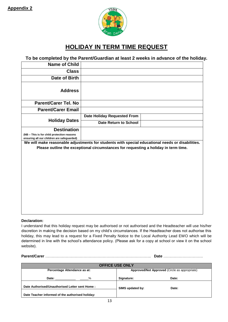**Appendix 2**



### **HOLIDAY IN TERM TIME REQUEST**

#### **To be completed by the Parent/Guardian at least 2 weeks in advance of the holiday.**

| <b>Name of Child</b>                                                                     |                                    |                                                                                                  |
|------------------------------------------------------------------------------------------|------------------------------------|--------------------------------------------------------------------------------------------------|
| <b>Class</b>                                                                             |                                    |                                                                                                  |
| Date of Birth                                                                            |                                    |                                                                                                  |
| <b>Address</b>                                                                           |                                    |                                                                                                  |
| <b>Parent/Carer Tel. No</b>                                                              |                                    |                                                                                                  |
| <b>Parent/Carer Email</b>                                                                |                                    |                                                                                                  |
|                                                                                          | <b>Date Holiday Requested From</b> |                                                                                                  |
| <b>Holiday Dates</b>                                                                     | <b>Date Return to School</b>       |                                                                                                  |
| <b>Destination</b>                                                                       |                                    |                                                                                                  |
| (NB - This is for child protection reasons<br>ensuring all our children are safeguarded) |                                    |                                                                                                  |
|                                                                                          |                                    | We will make reasonable adjustments for students with special educational needs or disabilities. |
| Please outline the exceptional circumstances for requesting a holiday in term time.      |                                    |                                                                                                  |
|                                                                                          |                                    |                                                                                                  |
|                                                                                          |                                    |                                                                                                  |
|                                                                                          |                                    |                                                                                                  |
|                                                                                          |                                    |                                                                                                  |
|                                                                                          |                                    |                                                                                                  |
|                                                                                          |                                    |                                                                                                  |
|                                                                                          |                                    |                                                                                                  |
|                                                                                          |                                    |                                                                                                  |
|                                                                                          |                                    |                                                                                                  |
|                                                                                          |                                    |                                                                                                  |
|                                                                                          |                                    |                                                                                                  |

#### **Declaration:**

I understand that this holiday request may be authorised or not authorised and the Headteacher will use his/her discretion in making the decision based on my child's circumstances. If the Headteacher does not authorise this holiday, this may lead to a request for a Fixed Penalty Notice to the Local Authority Lead EWO which will be determined in line with the school's attendance policy. (Please ask for a copy at school or view it on the school website).

**Parent/Carer** ……………………………………………………………………….. **Date** ………………………….

| <b>OFFICE USE ONLY</b>                           |                                               |       |  |
|--------------------------------------------------|-----------------------------------------------|-------|--|
| Percentage Attendance as at:                     | Approved/Not Approved (Circle as appropriate) |       |  |
| %<br>Date:                                       | Signature:                                    | Date: |  |
| Date Authorised/Unauthorised Letter sent Home:   | SIMS updated by:                              | Date: |  |
| Date Teacher informed of the authorised holiday: |                                               |       |  |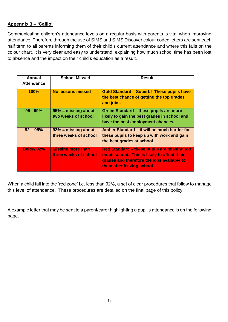#### **Appendix 3 – 'Callio'**

Communicating children's attendance levels on a regular basis with parents is vital when improving attendance. Therefore through the use of SIMS and SIMS Discover colour coded letters are sent each half term to all parents informing them of their child's current attendance and where this falls on the colour chart. It is very clear and easy to understand; explaining how much school time has been lost to absence and the impact on their child's education as a result.

| Annual<br><b>Attendance</b> | <b>School Missed</b>                              | <b>Result</b>                                                                                                                                                          |
|-----------------------------|---------------------------------------------------|------------------------------------------------------------------------------------------------------------------------------------------------------------------------|
| 100%                        | <b>No lessons missed</b>                          | <b>Gold Standard - Superb! These pupils have</b><br>the best chance of getting the top grades<br>and jobs.                                                             |
| $95 - 99%$                  | $95%$ = missing about<br>two weeks of school      | Green Standard - these pupils are more<br>likely to gain the best grades in school and<br>have the best employment chances.                                            |
| $92 - 95%$                  | $92\%$ = missing about<br>three weeks of school   | Amber Standard – it will be much harder for<br>these pupils to keep up with work and gain<br>the best grades at school.                                                |
| <b>Below 92%</b>            | <b>Missing more than</b><br>three weeks of school | Red Standard – these pupils are missing too<br>much school. This is likely to affect their<br>grades and therefore the jobs available to<br>them after leaving school. |

When a child fall into the 'red zone' i.e. less than 92%, a set of clear procedures that follow to manage this level of attendance. These procedures are detailed on the final page of this policy.

A example letter that may be sent to a parent/carer highlighting a pupil's attendance is on the following page.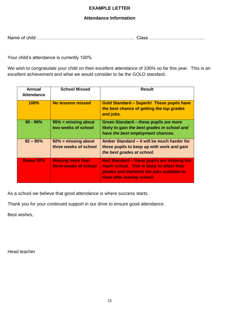#### **EXAMPLE LETTER**

#### **Attendance Information**

Name of child ……………………………………….……………... Class ………………………………

Your child's attendance is currently 100%

We wish to congratulate your child on their excellent attendance of 100% so far this year. This is an excellent achievement and what we would consider to be the GOLD standard.

| Annual<br><b>Attendance</b> | <b>School Missed</b>                              | <b>Result</b>                                                                                                                                                          |
|-----------------------------|---------------------------------------------------|------------------------------------------------------------------------------------------------------------------------------------------------------------------------|
| <b>100%</b>                 | <b>No lessons missed</b>                          | <b>Gold Standard – Superb! These pupils have</b><br>the best chance of getting the top grades<br>and jobs.                                                             |
| $95 - 99%$                  | $95%$ = missing about<br>two weeks of school      | Green Standard - these pupils are more<br>likely to gain the best grades in school and<br>have the best employment chances.                                            |
| $92 - 95%$                  | $92\%$ = missing about<br>three weeks of school   | Amber Standard – it will be much harder for<br>these pupils to keep up with work and gain<br>the best grades at school.                                                |
| <b>Below 92%</b>            | <b>Missing more than</b><br>three weeks of school | Red Standard - these pupils are missing too<br>much school. This is likely to affect their<br>grades and therefore the jobs available to<br>them after leaving school. |

As a school we believe that good attendance is where success starts.

Thank you for your continued support in our drive to ensure good attendance.

Best wishes,

Head teacher